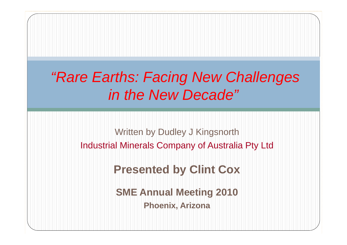#### *"Rare Earths: Facing New Challenges in the New Decade"*

Written by Dudley J Kingsnorth Industrial Minerals Company of Australia Pty Ltd

#### **Presented by Clint Cox**

**SME Annual Meeting 2010 Phoenix, Arizona**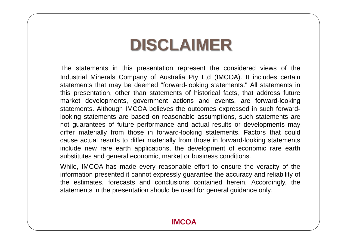#### **DISCLAIMER**

The statements in this presentation represent the considered views of the Industrial Minerals Company of Australia Pty Ltd (IMCOA). It includes certain statements that may be deemed "forward-looking statements." All statements in this presentation, other than statements of historical facts, that address future market developments, government actions and events, are forward-looking statements. Although IMCOA believes the outcomes expressed in such forwardlooking statements are based on reasonable assumptions, such statements are not guarantees of future performance and actual results or developments may differ materially from those in forward-looking statements. Factors that could cause actual results to differ materially from those in forward-looking statements include new rare earth applications, the development of economic rare earth substitutes and general economic, market or business conditions.

While, IMCOA has made every reasonable effort to ensure the veracity of the information presented it cannot expressly guarantee the accuracy and reliability of the estimates, forecasts and conclusions contained herein. Accordingly, the statements in the presentation should be used for general guidance only.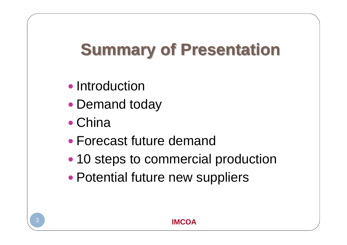# **Summary of Presentation**

- Introduction
- Demand today
- China
- Forecast future demand
- 10 steps to commercial production
- $\bullet$ Potential future new suppliers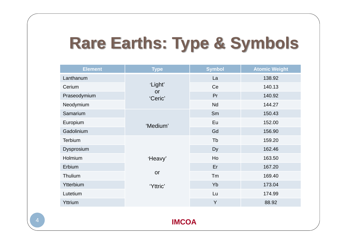# **Rare Earths: Type & Symbols**

| <b>Element</b> | <b>Type</b>    | <b>Symbol</b> | <b>Atomic Weight</b> |  |  |
|----------------|----------------|---------------|----------------------|--|--|
| Lanthanum      |                | La            | 138.92               |  |  |
| Cerium         | 'Light'        | Ce            | 140.13               |  |  |
| Praseodymium   | or<br>'Ceric'  | Pr            | 140.92               |  |  |
| Neodymium      |                | <b>Nd</b>     | 144.27               |  |  |
| Samarium       |                | Sm            | 150.43               |  |  |
| Europium       | Eu<br>'Medium' |               | 152.00               |  |  |
| Gadolinium     |                | Gd            | 156.90               |  |  |
| Terbium        |                | Tb            | 159.20               |  |  |
| Dysprosium     |                | Dy            | 162.46               |  |  |
| Holmium        | 'Heavy'        | Ho            | 163.50               |  |  |
| Erbium         |                | Er            | 167.20               |  |  |
| Thulium        | or             | Tm            | 169.40               |  |  |
| Ytterbium      | 'Yttric'       | Yb            | 173.04               |  |  |
| Lutetium       |                | Lu            | 174.99               |  |  |
| Yttrium        |                | Y             | 88.92                |  |  |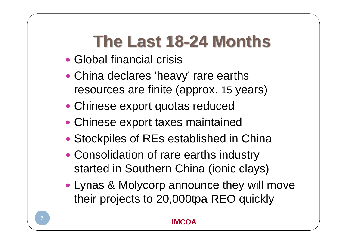### **The Last 18-24 Months**

- Global financial crisis
- China declares 'heavy' rare earths resources are finite (approx. 15 years)
- Chinese export quotas reduced
- Chinese export taxes maintained
- Stockpiles of REs established in China
- Consolidation of rare earths industry started in Southern China (ionic clays)
- Lynas & Molycorp announce they will move their projects to 20,000tpa REO quickly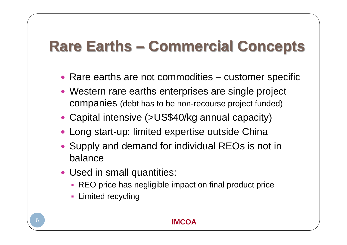#### **Rare Earths – Commercial Concepts**

- Rare earths are not commodities customer specific
- Western rare earths enterprises are single project companies (debt has to be non-recourse project funded)
- Capital intensive (>US\$40/kg annual capacity)
- Long start-up; limited expertise outside China
- Supply and demand for individual REOs is not in balance
- Used in small quantities:
	- REO price has negligible impact on final product price
	- **Limited recycling**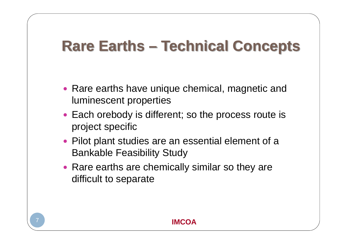#### **Rare Earths – Technical Concepts**

- Rare earths have unique chemical, magnetic and luminescent properties
- Each orebody is different; so the process route is project specific
- Pilot plant studies are an essential element of a Bankable Feasibility Study
- Rare earths are chemically similar so they are difficult to separate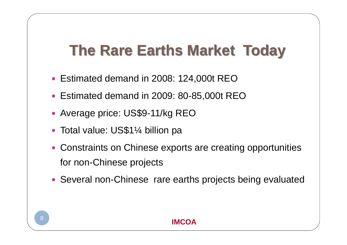#### **The Rare Earths Market Today**

- y Estimated demand in 2008: 124,000t REO
- y Estimated demand in 2009: 80-85,000t REO
- Average price: US\$9-11/kg REO
- Total value: US\$1¼ billion pa
- Constraints on Chinese exports are creating opportunities for non-Chinese projects
- Several non-Chinese rare earths projects being evaluated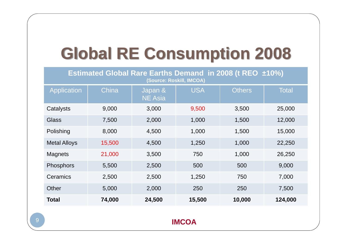## **Global RE Consumption 2008**

**Estimated Global Rare Earths Demand in 2008 (t REO ±10%) (Source: Roskill, IMCOA)**

| <b>Application</b>  | China  | Japan &<br><b>NE Asia</b> | <b>USA</b> | <b>Others</b> | <b>Total</b> |
|---------------------|--------|---------------------------|------------|---------------|--------------|
| Catalysts           | 9,000  | 3,000                     | 9,500      | 3,500         | 25,000       |
| <b>Glass</b>        | 7,500  | 2,000                     | 1,000      | 1,500         | 12,000       |
| Polishing           | 8,000  | 4,500                     | 1,000      | 1,500         | 15,000       |
| <b>Metal Alloys</b> | 15,500 | 4,500                     | 1,250      | 1,000         | 22,250       |
| <b>Magnets</b>      | 21,000 | 3,500                     | 750        | 1,000         | 26,250       |
| Phosphors           | 5,500  | 2,500                     | 500        | 500           | 9,000        |
| Ceramics            | 2,500  | 2,500                     | 1,250      | 750           | 7,000        |
| Other               | 5,000  | 2,000                     | 250        | 250           | 7,500        |
| <b>Total</b>        | 74,000 | 24,500                    | 15,500     | 10,000        | 124,000      |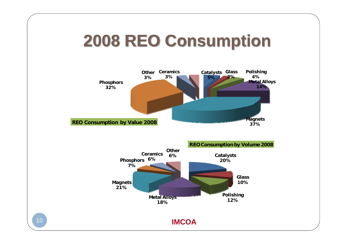#### **2008 REO Consumption**



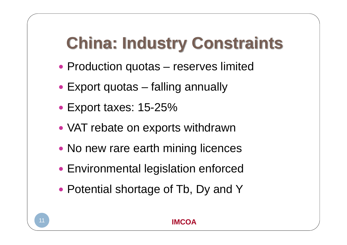## **China: Industry Constraints**

- Production quotas reserves limited
- Export quotas falling annually
- Export taxes: 15-25%
- VAT rebate on exports withdrawn
- No new rare earth mining licences
- Environmental legislation enforced
- Potential shortage of Tb, Dy and Y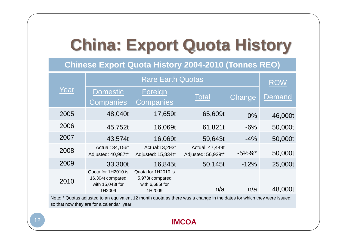### **China: Export Quota History**

**Chinese Export Quota History 2004-2010 (Tonnes REO)**

|      |                                                                       | <b>ROW</b>                                                          |                                       |                   |         |
|------|-----------------------------------------------------------------------|---------------------------------------------------------------------|---------------------------------------|-------------------|---------|
| Year | <b>Domestic</b><br><b>Companies</b>                                   | Foreign<br><b>Companies</b>                                         | Total                                 | Change            | Demand  |
| 2005 | 48,040t                                                               | 17,659t                                                             | 65,609t                               | $0\%$             | 46,000t |
| 2006 | 45,752t                                                               | 16,069t                                                             | 61,821t                               | $-6%$             | 50,000t |
| 2007 | 43,574t                                                               | 16,069t                                                             | 59,643t                               | $-4%$             | 50,000t |
| 2008 | Actual: 34,156t<br>Adjusted: 40,987t*                                 | Actual: 13, 293t<br>Adjusted: 15,834t*                              | Actual: 47,449t<br>Adjusted: 56,939t* | $-5\frac{1}{2}\%$ | 50,000t |
| 2009 | 33,300t                                                               | 16,845t                                                             | 50,145t                               | $-12%$            | 25,000t |
| 2010 | Quota for 1H2010 is<br>16,304t compared<br>with 15,043t for<br>1H2009 | Quota for 1H2010 is<br>5,978t compared<br>with 6,685t for<br>1H2009 | n/a                                   | n/a               | 48,000t |

Note: \* Quotas adjusted to an equivalent 12 month quota as there was a change in the dates for which they were issued; so that now they are for a calendar year

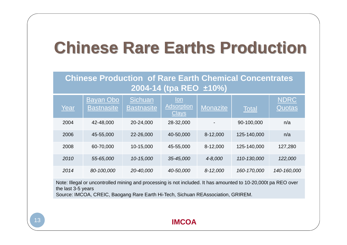#### **Chinese Rare Earths Production**

**Chinese Production of Rare Earth Chemical Concentrates 2004-14 (tpa REO ±10%)**

| Year | Bayan Obo<br><b>Bastnasite</b> | Sichuan<br><b>Bastnasite</b> | lon<br><b>Adsorption</b><br><b>Clays</b> | <b>Monazite</b> | <b>Total</b> | <b>NDRC</b><br>Quotas |
|------|--------------------------------|------------------------------|------------------------------------------|-----------------|--------------|-----------------------|
| 2004 | 42-48,000                      | 20-24,000                    | 28-32,000                                |                 | 90-100,000   | n/a                   |
| 2006 | 45-55,000                      | 22-26,000                    | 40-50,000                                | 8-12,000        | 125-140,000  | n/a                   |
| 2008 | 60-70,000                      | 10-15,000                    | 45-55,000                                | 8-12,000        | 125-140,000  | 127,280               |
| 2010 | 55-65,000                      | 10-15,000                    | 35-45,000                                | 4-8,000         | 110-130,000  | 122,000               |
| 2014 | 80-100,000                     | 20-40,000                    | 40-50,000                                | $8 - 12,000$    | 160-170,000  | 140-160,000           |

Note: Illegal or uncontrolled mining and processing is not included. It has amounted to 10-20,000t pa REO over the last 3-5 years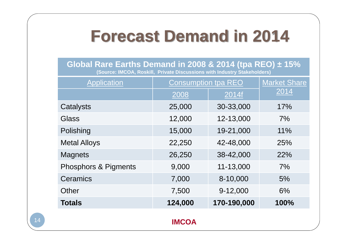#### **Forecast Demand in 2014**

**Global Rare Earths Demand in 2008 & 2014 (tpa REO) ± 15% (Source: IMCOA, Roskill, Private Discussions with Industry Stakeholders)**

| <b>Application</b>              | <b>Consumption tpa REO</b> | <b>Market Share</b> |      |
|---------------------------------|----------------------------|---------------------|------|
|                                 | 2008                       | 2014f               | 2014 |
| Catalysts                       | 25,000                     | 30-33,000           | 17%  |
| Glass                           | 12,000                     | 12-13,000           | 7%   |
| Polishing                       | 15,000                     | 19-21,000           | 11%  |
| <b>Metal Alloys</b>             | 22,250                     | 42-48,000           | 25%  |
| <b>Magnets</b>                  | 26,250                     | 38-42,000           | 22%  |
| <b>Phosphors &amp; Pigments</b> | 9,000                      | 11-13,000           | 7%   |
| Ceramics                        | 7,000                      | 8-10,000            | 5%   |
| Other                           | 7,500                      | 9-12,000            | 6%   |
| <b>Totals</b>                   | 124,000                    | 170-190,000         | 100% |
|                                 | <b>IMCOA</b>               |                     |      |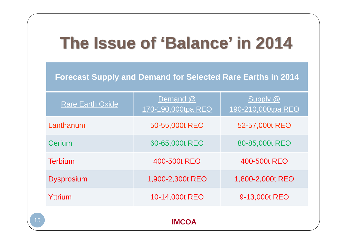### **The Issue of 'Balance' in 2014**

**Forecast Supply and Demand for Selected Rare Earths in 2014**

| <b>Rare Earth Oxide</b> | Demand @<br>170-190,000tpa REO | Supply @<br>190-210,000tpa REO |  |  |  |  |
|-------------------------|--------------------------------|--------------------------------|--|--|--|--|
| Lanthanum               | 50-55,000t REO                 | 52-57,000t REO                 |  |  |  |  |
| Cerium                  | 60-65,000t REO                 | 80-85,000t REO                 |  |  |  |  |
| <b>Terbium</b>          | 400-500t REO                   | 400-500t REO                   |  |  |  |  |
| <b>Dysprosium</b>       | 1,900-2,300t REO               | 1,800-2,000t REO               |  |  |  |  |
| Yttrium                 | 10-14,000t REO                 | 9-13,000t REO                  |  |  |  |  |
| IMCOA                   |                                |                                |  |  |  |  |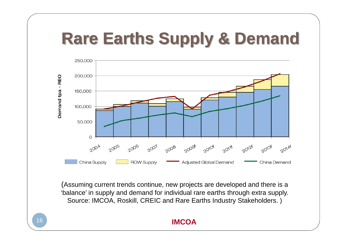### **Rare Earths Supply & Demand**



(Assuming current trends continue, new projects are developed and there is a 'balance' in supply and demand for individual rare earths through extra supply. Source: IMCOA, Roskill, CREIC and Rare Earths Industry Stakeholders. )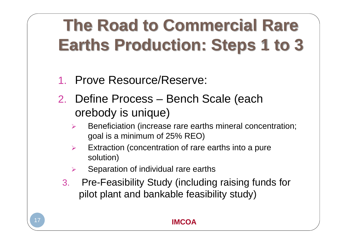# **The Road to Commercial Rare Earths Production: Steps 1 to 3**

- 1.Prove Resource/Reserve:
- 2. Define Process Bench Scale (each orebody is unique)
	- ¾ Beneficiation (increase rare earths mineral concentration; goal is a minimum of 25% REO)
	- $\blacktriangleright$  Extraction (concentration of rare earths into a pure solution)
	- ¾Separation of individual rare earths
	- 3. Pre-Feasibility Study (including raising funds for pilot plant and bankable feasibility study)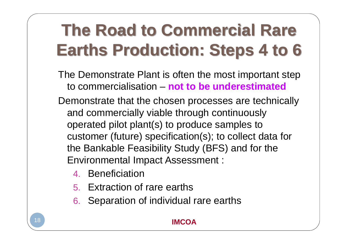# **The Road to Commercial Rare Earths Production: Steps 4 to 6**

- The Demonstrate Plant is often the most important step to commercialisation – **not to be underestimated**
- Demonstrate that the chosen processes are technically and commercially viable through continuously operated pilot plant(s) to produce samples to customer (future) specification(s); to collect data for the Bankable Feasibility Study (BFS) and for the Environmental Impact Assessment :
	- 4. Beneficiation
	- 5. Extraction of rare earths
	- 6. Separation of individual rare earths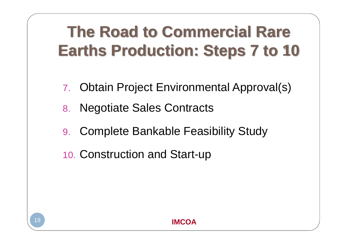### **The Road to Commercial Rare Earths Production: Steps 7 to 10**

- 7. Obtain Project Environmental Approval(s)
- 8. Negotiate Sales Contracts
- 9. Complete Bankable Feasibility Study
- 10. Construction and Start-up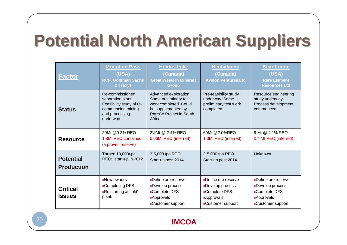## **Potential North American Suppliers**

| <b>Factor</b>                         | <b>Mountain Pass</b><br>(USA)<br><b>RCF, Goldman Sachs</b><br>& Traxys                                               | <b>Hoidas Lake</b><br>(Canada)<br><b>Great Western Minerals</b><br><b>Group</b>                                                    | <b>Nechalacho</b><br>(Canada)<br><b>Avalon Ventures Ltd</b>                                     | <b>Bear Lodge</b><br>(USA)<br><b>Rare Element</b><br><b>Resources Ltd</b>                       |
|---------------------------------------|----------------------------------------------------------------------------------------------------------------------|------------------------------------------------------------------------------------------------------------------------------------|-------------------------------------------------------------------------------------------------|-------------------------------------------------------------------------------------------------|
| <b>Status</b>                         | Re-commissioned<br>separation plant.<br>Feasibility study of re-<br>commencing mining<br>and processing<br>underway. | Advanced exploration.<br>Some preliminary test<br>work completed. Could<br>be supplemented by<br>RareCo Project in South<br>Africa | Pre-feasibility study<br>underway. Some<br>preliminary test work<br>completed.                  | Resource engineering<br>study underway.<br>Process development<br>commenced                     |
| <b>Resource</b>                       | 20Mt @9.2% REO<br>1.8Mt REO contained<br>(a proven reserve)                                                          | 21/2Mt @ 2.4% REO<br>0.06Mt REO (inferred)                                                                                         | 69Mt @2.0%REO<br>1.3Mt REO (inferred)                                                           | 9 Mt @ 4.1% REO<br>0.4 Mt REO (inferred)                                                        |
| <b>Potential</b><br><b>Production</b> | Target: 18,000t pa<br>REO; start-up in 2012                                                                          | 3-5,000 tpa REO<br>Start-up post 2014                                                                                              | 3-5,000 tpa REO<br>Start-up post 2014                                                           | Unknown                                                                                         |
| <b>Critical</b><br><b>Issues</b>      | New owners<br>■Completing DFS<br>-Re starting an 'old'<br>plant.                                                     | Define ore reserve<br>Develop process<br>-Complete DFS<br><b>Approvals</b><br>-Customer support                                    | Define ore reserve<br>Develop process<br>■Complete DFS<br><b>Approvals</b><br>-Customer support | Define ore reserve<br>Develop process<br>■Complete DFS<br><b>Approvals</b><br>-Customer support |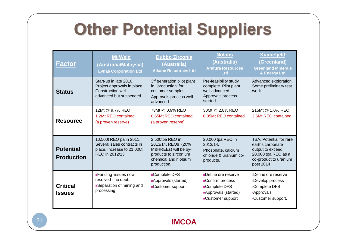## **Other Potential Suppliers**

| <b>Factor</b>                         | <b>Mt Weld</b><br>(Australia/Malaysia)<br><b>Lynas Corporation Ltd</b>                                | <b>Dubbo Zirconia</b><br>(Australia)<br><b>Alkane Resources Ltd</b>                                                           | <b>Nolans</b><br>(Australia)<br><b>Arafura Resources</b><br><b>Ltd</b>                               | <b>Kvanefjeld</b><br>(Greenland)<br><b>Greenland Minerals</b><br>& Energy Ltd                                                |
|---------------------------------------|-------------------------------------------------------------------------------------------------------|-------------------------------------------------------------------------------------------------------------------------------|------------------------------------------------------------------------------------------------------|------------------------------------------------------------------------------------------------------------------------------|
| <b>Status</b>                         | Start-up in late 2010.<br>Project approvals in place.<br>Construction well<br>advanced but suspended  | 3 <sup>rd</sup> generation pilot plant<br>in 'production' for<br>customer samples.<br>Approvals process well<br>advanced      | Pre-feasibility study<br>complete. Pilot plant<br>well advanced.<br>Approvals process<br>started.    | Advanced exploration.<br>Some preliminary test<br>work.                                                                      |
| <b>Resource</b>                       | 12Mt @ 9.7% REO<br>1.2Mt REO contained<br>(a proven reserve)                                          | 73Mt @ 0.9% REO<br>0.65Mt REO contained<br>(a proven reserve)                                                                 | 30Mt @ 2.8% REO<br>0.85Mt REO contained                                                              | 215Mt @ 1.0% REO<br>2.6Mt REO contained                                                                                      |
| <b>Potential</b><br><b>Production</b> | 10,500t REO pa in 2011.<br>Several sales contracts in<br>place. Increase to 21,000t<br>REO in 2012/13 | 2,500tpa REO in<br>2013/14. REOs (20%<br>M&HREEs) will be by-<br>products to zirconium<br>chemical and niobium<br>production. | 20,000 tpa REO in<br>$2013/14$ .<br>Phosphate, calcium<br>chloride & uranium co-<br>products.        | TBA. Potential for rare<br>earths carbonate<br>output to exceed<br>20,000 tpa REO as a<br>co-product to uranium<br>post 2014 |
| <b>Critical</b><br><b>Issues</b>      | <b>Funding issues now</b><br>resolved - no debt.<br>Separation of mining and<br>processing            | -Complete DFS<br>Approvals (started)<br>-Customer support                                                                     | Define ore reserve<br>-Confirm process<br>-Complete DFS<br>-Approvals (started)<br>-Customer support | -Define ore reserve<br>Develop process<br>-Complete DFS<br>-Approvals<br>-Customer support.                                  |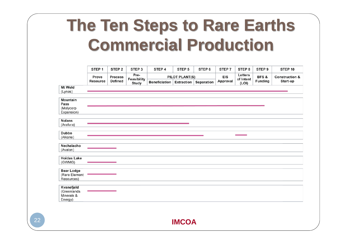#### **The Ten Steps to Rare Earths Commercial Production**

|                                                    | STEP <sub>1</sub> | STEP <sub>2</sub> | STEP <sub>3</sub> | STEP 4        | STEP <sub>5</sub>     | STEP <sub>6</sub> | STEP 7     | STEP 8               | STEP <sub>9</sub> | STEP 10                   |
|----------------------------------------------------|-------------------|-------------------|-------------------|---------------|-----------------------|-------------------|------------|----------------------|-------------------|---------------------------|
|                                                    | Prove             | <b>Process</b>    | Feasibility       | Pre-          | <b>PILOT PLANT(S)</b> |                   | <b>EIS</b> | Letters<br>of Intent | BFS&              | <b>Construction &amp;</b> |
|                                                    | <b>Resource</b>   | <b>Defined</b>    | <b>Study</b>      | Beneficiation | Extraction $ $        | Separation        | Approval   | (LOI)                | <b>Funding</b>    | Start-up                  |
| Mt Weld                                            |                   |                   |                   |               |                       |                   |            |                      |                   |                           |
| (Lynas)                                            |                   |                   |                   |               |                       |                   |            |                      |                   |                           |
| <b>Mountain</b><br>Pass                            |                   |                   |                   |               |                       |                   |            |                      |                   |                           |
| (Molycorp<br>Expansion)                            |                   |                   |                   |               |                       |                   |            |                      |                   |                           |
| <b>Nolans</b>                                      |                   |                   |                   |               |                       |                   |            |                      |                   |                           |
| (Arafura)                                          |                   |                   |                   |               |                       |                   |            |                      |                   |                           |
| <b>Dubbo</b>                                       |                   |                   |                   |               |                       |                   |            |                      |                   |                           |
| (Alkane)                                           |                   |                   |                   |               |                       |                   |            |                      |                   |                           |
| Nechalacho<br>(Avalon)                             |                   |                   |                   |               |                       |                   |            |                      |                   |                           |
| <b>Hoidas Lake</b><br>(GWMG)                       |                   |                   |                   |               |                       |                   |            |                      |                   |                           |
|                                                    |                   |                   |                   |               |                       |                   |            |                      |                   |                           |
| <b>Bear Lodge</b><br>(Rare Element<br>Resources)   |                   |                   |                   |               |                       |                   |            |                      |                   |                           |
| Kvanefjeld<br>(Greenlands<br>Minerals &<br>Energy) |                   |                   |                   |               |                       |                   |            |                      |                   |                           |
|                                                    |                   |                   |                   |               |                       |                   |            |                      |                   |                           |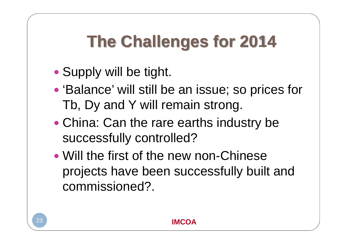# **The Challenges for 2014**

- $\bullet$ Supply will be tight.
- 'Balance' will still be an issue; so prices for Tb, Dy and Y will remain strong.
- $\bullet$ • China: Can the rare earths industry be successfully controlled?
- Will the first of the new non-Chinese projects have been successfully built and commissioned?.